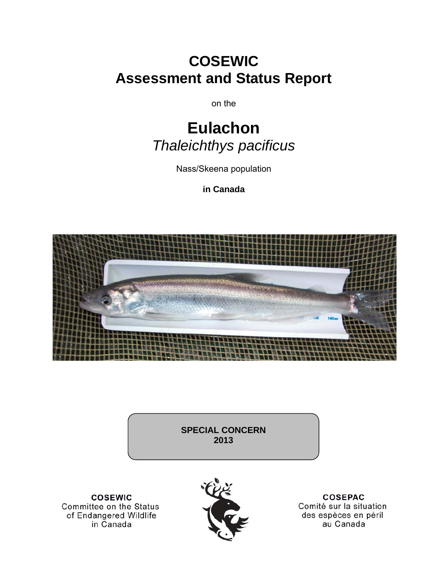# **COSEWIC Assessment and Status Report**

on the

# **Eulachon**  *Thaleichthys pacificus*

Nass/Skeena population

**in Canada** 



**SPECIAL CONCERN 2013** 

**COSEWIC** Committee on the Status of Endangered Wildlife in Canada



**COSEPAC** Comité sur la situation des espèces en péril au Canada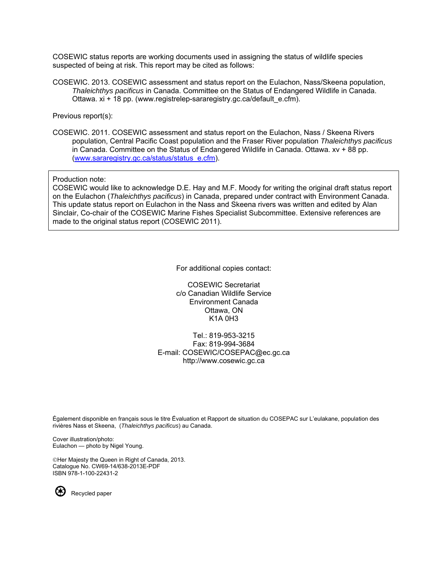COSEWIC status reports are working documents used in assigning the status of wildlife species suspected of being at risk. This report may be cited as follows:

COSEWIC. 2013. COSEWIC assessment and status report on the Eulachon, Nass/Skeena population, *Thaleichthys pacificus* in Canada. Committee on the Status of Endangered Wildlife in Canada. Ottawa. xi + 18 pp. [\(www.registrelep-sararegistry.gc.ca/default\\_e.cfm\)](www.registrelep-sararegistry.gc.ca/default_e.cfm).

Previous report(s):

COSEWIC. 2011. COSEWIC assessment and status report on the Eulachon, Nass / Skeena Rivers population, Central Pacific Coast population and the Fraser River population *Thaleichthys pacificus*  in Canada. Committee on the Status of Endangered Wildlife in Canada. Ottawa. xv + 88 pp. ([www.sararegistry.gc.ca/status/status\\_e.cfm](http://www.sararegistry.gc.ca/status/status_e.cfm)).

Production note:

COSEWIC would like to acknowledge D.E. Hay and M.F. Moody for writing the original draft status report on the Eulachon (*Thaleichthys pacificus*) in Canada, prepared under contract with Environment Canada. This update status report on Eulachon in the Nass and Skeena rivers was written and edited by Alan Sinclair, Co-chair of the COSEWIC Marine Fishes Specialist Subcommittee. Extensive references are made to the original status report (COSEWIC 2011).

For additional copies contact:

COSEWIC Secretariat c/o Canadian Wildlife Service Environment Canada Ottawa, ON K1A 0H3

Tel.: 819-953-3215 Fax: 819-994-3684 E-mail: COSEWIC/COSEPAC@ec.gc.ca http://www.cosewic.gc.ca

Également disponible en français sous le titre Ếvaluation et Rapport de situation du COSEPAC sur L'eulakane, population des rivières Nass et Skeena, (*Thaleichthys pacificus*) au Canada.

Cover illustration/photo: Eulachon — photo by Nigel Young.

Her Majesty the Queen in Right of Canada, 2013. Catalogue No. CW69-14/638-2013E-PDF ISBN 978-1-100-22431-2

Recycled paper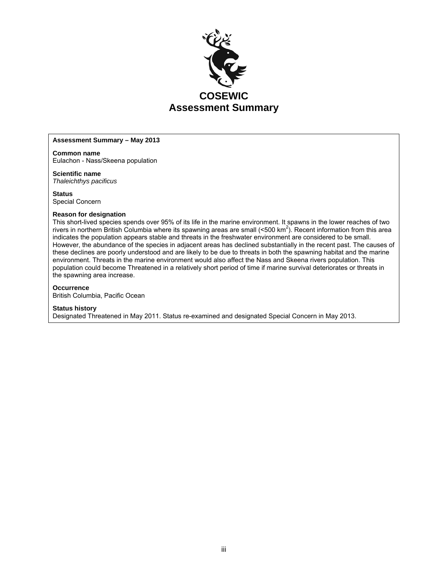

#### **Assessment Summary – May 2013**

**Common name**  Eulachon - Nass/Skeena population

**Scientific name** 

*Thaleichthys pacificus*

**Status**  Special Concern

#### **Reason for designation**

This short-lived species spends over 95% of its life in the marine environment. It spawns in the lower reaches of two rivers in northern British Columbia where its spawning areas are small (<500 km<sup>2</sup>). Recent information from this area indicates the population appears stable and threats in the freshwater environment are considered to be small. However, the abundance of the species in adjacent areas has declined substantially in the recent past. The causes of these declines are poorly understood and are likely to be due to threats in both the spawning habitat and the marine environment. Threats in the marine environment would also affect the Nass and Skeena rivers population. This population could become Threatened in a relatively short period of time if marine survival deteriorates or threats in the spawning area increase.

#### **Occurrence**

British Columbia, Pacific Ocean

#### **Status history**

Designated Threatened in May 2011. Status re-examined and designated Special Concern in May 2013.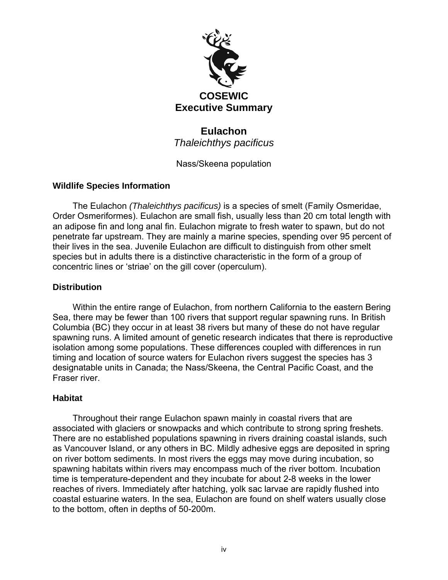

# **Eulachon**  *Thaleichthys pacificus*

Nass/Skeena population

# **Wildlife Species Information**

The Eulachon *(Thaleichthys pacificus)* is a species of smelt (Family Osmeridae, Order Osmeriformes). Eulachon are small fish, usually less than 20 cm total length with an adipose fin and long anal fin. Eulachon migrate to fresh water to spawn, but do not penetrate far upstream. They are mainly a marine species, spending over 95 percent of their lives in the sea. Juvenile Eulachon are difficult to distinguish from other smelt species but in adults there is a distinctive characteristic in the form of a group of concentric lines or 'striae' on the gill cover (operculum).

# **Distribution**

Within the entire range of Eulachon, from northern California to the eastern Bering Sea, there may be fewer than 100 rivers that support regular spawning runs. In British Columbia (BC) they occur in at least 38 rivers but many of these do not have regular spawning runs. A limited amount of genetic research indicates that there is reproductive isolation among some populations. These differences coupled with differences in run timing and location of source waters for Eulachon rivers suggest the species has 3 designatable units in Canada; the Nass/Skeena, the Central Pacific Coast, and the Fraser river.

# **Habitat**

Throughout their range Eulachon spawn mainly in coastal rivers that are associated with glaciers or snowpacks and which contribute to strong spring freshets. There are no established populations spawning in rivers draining coastal islands, such as Vancouver Island, or any others in BC. Mildly adhesive eggs are deposited in spring on river bottom sediments. In most rivers the eggs may move during incubation, so spawning habitats within rivers may encompass much of the river bottom. Incubation time is temperature-dependent and they incubate for about 2-8 weeks in the lower reaches of rivers. Immediately after hatching, yolk sac larvae are rapidly flushed into coastal estuarine waters. In the sea, Eulachon are found on shelf waters usually close to the bottom, often in depths of 50-200m.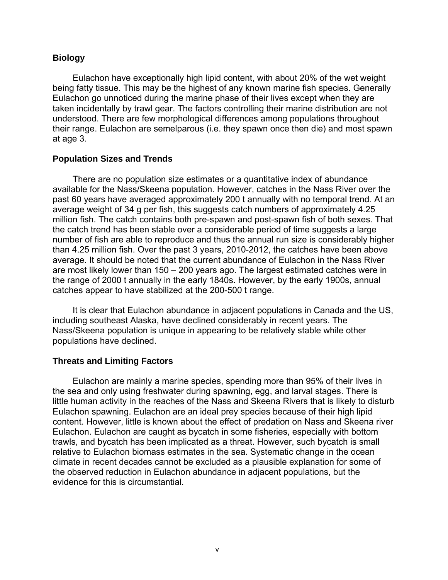# **Biology**

Eulachon have exceptionally high lipid content, with about 20% of the wet weight being fatty tissue. This may be the highest of any known marine fish species. Generally Eulachon go unnoticed during the marine phase of their lives except when they are taken incidentally by trawl gear. The factors controlling their marine distribution are not understood. There are few morphological differences among populations throughout their range. Eulachon are semelparous (i.e. they spawn once then die) and most spawn at age 3.

# **Population Sizes and Trends**

There are no population size estimates or a quantitative index of abundance available for the Nass/Skeena population. However, catches in the Nass River over the past 60 years have averaged approximately 200 t annually with no temporal trend. At an average weight of 34 g per fish, this suggests catch numbers of approximately 4.25 million fish. The catch contains both pre-spawn and post-spawn fish of both sexes. That the catch trend has been stable over a considerable period of time suggests a large number of fish are able to reproduce and thus the annual run size is considerably higher than 4.25 million fish. Over the past 3 years, 2010-2012, the catches have been above average. It should be noted that the current abundance of Eulachon in the Nass River are most likely lower than 150 – 200 years ago. The largest estimated catches were in the range of 2000 t annually in the early 1840s. However, by the early 1900s, annual catches appear to have stabilized at the 200-500 t range.

It is clear that Eulachon abundance in adjacent populations in Canada and the US, including southeast Alaska, have declined considerably in recent years. The Nass/Skeena population is unique in appearing to be relatively stable while other populations have declined.

# **Threats and Limiting Factors**

Eulachon are mainly a marine species, spending more than 95% of their lives in the sea and only using freshwater during spawning, egg, and larval stages. There is little human activity in the reaches of the Nass and Skeena Rivers that is likely to disturb Eulachon spawning. Eulachon are an ideal prey species because of their high lipid content. However, little is known about the effect of predation on Nass and Skeena river Eulachon. Eulachon are caught as bycatch in some fisheries, especially with bottom trawls, and bycatch has been implicated as a threat. However, such bycatch is small relative to Eulachon biomass estimates in the sea. Systematic change in the ocean climate in recent decades cannot be excluded as a plausible explanation for some of the observed reduction in Eulachon abundance in adjacent populations, but the evidence for this is circumstantial.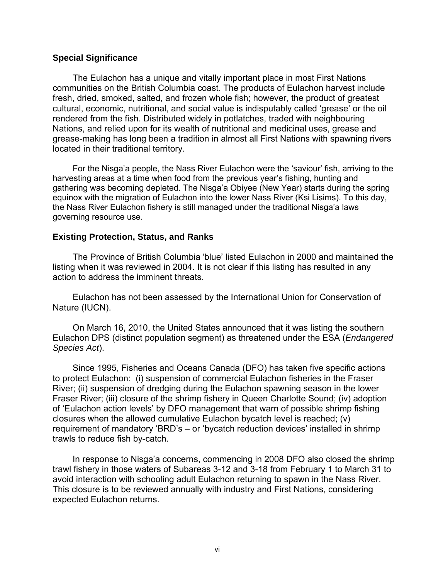# **Special Significance**

The Eulachon has a unique and vitally important place in most First Nations communities on the British Columbia coast. The products of Eulachon harvest include fresh, dried, smoked, salted, and frozen whole fish; however, the product of greatest cultural, economic, nutritional, and social value is indisputably called 'grease' or the oil rendered from the fish. Distributed widely in potlatches, traded with neighbouring Nations, and relied upon for its wealth of nutritional and medicinal uses, grease and grease-making has long been a tradition in almost all First Nations with spawning rivers located in their traditional territory.

For the Nisga'a people, the Nass River Eulachon were the 'saviour' fish, arriving to the harvesting areas at a time when food from the previous year's fishing, hunting and gathering was becoming depleted. The Nisga'a Obiyee (New Year) starts during the spring equinox with the migration of Eulachon into the lower Nass River (Ksi Lisims). To this day, the Nass River Eulachon fishery is still managed under the traditional Nisga'a laws governing resource use.

# **Existing Protection, Status, and Ranks**

The Province of British Columbia 'blue' listed Eulachon in 2000 and maintained the listing when it was reviewed in 2004. It is not clear if this listing has resulted in any action to address the imminent threats.

Eulachon has not been assessed by the International Union for Conservation of Nature (IUCN).

On March 16, 2010, the United States announced that it was listing the southern Eulachon DPS (distinct population segment) as threatened under the ESA (*Endangered Species Act*).

Since 1995, Fisheries and Oceans Canada (DFO) has taken five specific actions to protect Eulachon: (i) suspension of commercial Eulachon fisheries in the Fraser River; (ii) suspension of dredging during the Eulachon spawning season in the lower Fraser River; (iii) closure of the shrimp fishery in Queen Charlotte Sound; (iv) adoption of 'Eulachon action levels' by DFO management that warn of possible shrimp fishing closures when the allowed cumulative Eulachon bycatch level is reached; (v) requirement of mandatory 'BRD's – or 'bycatch reduction devices' installed in shrimp trawls to reduce fish by-catch.

In response to Nisga'a concerns, commencing in 2008 DFO also closed the shrimp trawl fishery in those waters of Subareas 3-12 and 3-18 from February 1 to March 31 to avoid interaction with schooling adult Eulachon returning to spawn in the Nass River. This closure is to be reviewed annually with industry and First Nations, considering expected Eulachon returns.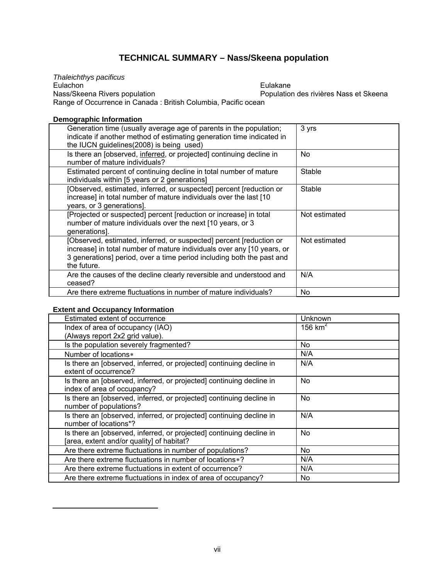# **TECHNICAL SUMMARY – Nass/Skeena population**

*Thaleichthys pacificus*  Eulachon Nass/Skeena Rivers population Eulakane Population des rivières Nass et Skeena Range of Occurrence in Canada : British Columbia, Pacific ocean

## **Demographic Information**

| Generation time (usually average age of parents in the population;<br>indicate if another method of estimating generation time indicated in<br>the IUCN guidelines(2008) is being used)                                               | 3 yrs         |
|---------------------------------------------------------------------------------------------------------------------------------------------------------------------------------------------------------------------------------------|---------------|
| Is there an [observed, inferred, or projected] continuing decline in<br>number of mature individuals?                                                                                                                                 | No            |
| Estimated percent of continuing decline in total number of mature<br>individuals within [5 years or 2 generations]                                                                                                                    | Stable        |
| [Observed, estimated, inferred, or suspected] percent [reduction or<br>increase] in total number of mature individuals over the last [10<br>years, or 3 generations].                                                                 | Stable        |
| [Projected or suspected] percent [reduction or increase] in total<br>number of mature individuals over the next [10 years, or 3<br>generations].                                                                                      | Not estimated |
| [Observed, estimated, inferred, or suspected] percent [reduction or<br>increase] in total number of mature individuals over any [10 years, or<br>3 generations] period, over a time period including both the past and<br>the future. | Not estimated |
| Are the causes of the decline clearly reversible and understood and<br>ceased?                                                                                                                                                        | N/A           |
| Are there extreme fluctuations in number of mature individuals?                                                                                                                                                                       | No            |

### **Extent and Occupancy Information**

<span id="page-6-1"></span><span id="page-6-0"></span> $\overline{a}$ 

| Unknown   |
|-----------|
| 156 $km2$ |
|           |
| No        |
| N/A       |
| N/A       |
| No        |
| No        |
| N/A       |
| No        |
| No.       |
| N/A       |
| N/A       |
| No.       |
|           |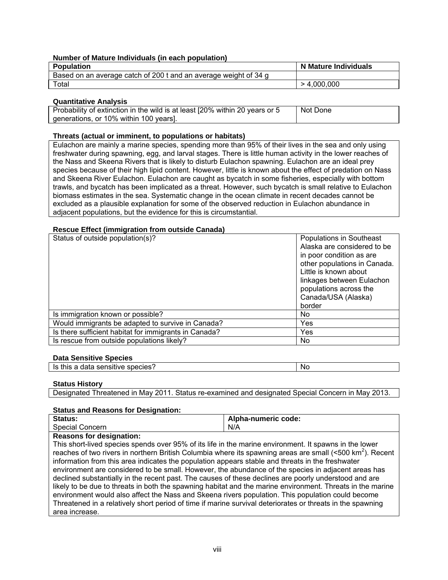#### **Number of Mature Individuals (in each population)**

| <b>Population</b>                                                | N Mature Individuals |
|------------------------------------------------------------------|----------------------|
| Based on an average catch of 200 t and an average weight of 34 g |                      |
| Total                                                            | > 4,000,000          |

#### **Quantitative Analysis**

| Probability of extinction in the wild is at least [20% within 20 years or 5 | l Not Done |
|-----------------------------------------------------------------------------|------------|
| generations, or 10% within 100 years].                                      |            |

#### **Threats (actual or imminent, to populations or habitats)**

Eulachon are mainly a marine species, spending more than 95% of their lives in the sea and only using freshwater during spawning, egg, and larval stages. There is little human activity in the lower reaches of the Nass and Skeena Rivers that is likely to disturb Eulachon spawning. Eulachon are an ideal prey species because of their high lipid content. However, little is known about the effect of predation on Nass and Skeena River Eulachon. Eulachon are caught as bycatch in some fisheries, especially with bottom trawls, and bycatch has been implicated as a threat. However, such bycatch is small relative to Eulachon biomass estimates in the sea. Systematic change in the ocean climate in recent decades cannot be excluded as a plausible explanation for some of the observed reduction in Eulachon abundance in adjacent populations, but the evidence for this is circumstantial.

#### **Rescue Effect (immigration from outside Canada)**

| Status of outside population(s)?                      | Populations in Southeast<br>Alaska are considered to be<br>in poor condition as are<br>other populations in Canada.<br>Little is known about<br>linkages between Eulachon<br>populations across the<br>Canada/USA (Alaska)<br>border |
|-------------------------------------------------------|--------------------------------------------------------------------------------------------------------------------------------------------------------------------------------------------------------------------------------------|
| Is immigration known or possible?                     | No.                                                                                                                                                                                                                                  |
| Would immigrants be adapted to survive in Canada?     | Yes                                                                                                                                                                                                                                  |
| Is there sufficient habitat for immigrants in Canada? | Yes                                                                                                                                                                                                                                  |
| Is rescue from outside populations likely?            | No                                                                                                                                                                                                                                   |

### **Data Sensitive Species**

| data sensitive species?<br>this<br>Is<br>-<br>đ | Νú |
|-------------------------------------------------|----|

#### **Status History**

|  | Designated Threatened in May 2011. Status re-examined and designated Special Concern in May 2013. |
|--|---------------------------------------------------------------------------------------------------|
|  |                                                                                                   |

#### **Status and Reasons for Designation:**

| Status:         | Alpha-numeric code: |
|-----------------|---------------------|
| Special Concern | N/A                 |

### **Reasons for designation:**

This short-lived species spends over 95% of its life in the marine environment. It spawns in the lower reaches of two rivers in northern British Columbia where its spawning areas are small (<500 km<sup>2</sup>). Recent information from this area indicates the population appears stable and threats in the freshwater environment are considered to be small. However, the abundance of the species in adjacent areas has declined substantially in the recent past. The causes of these declines are poorly understood and are likely to be due to threats in both the spawning habitat and the marine environment. Threats in the marine environment would also affect the Nass and Skeena rivers population. This population could become Threatened in a relatively short period of time if marine survival deteriorates or threats in the spawning area increase.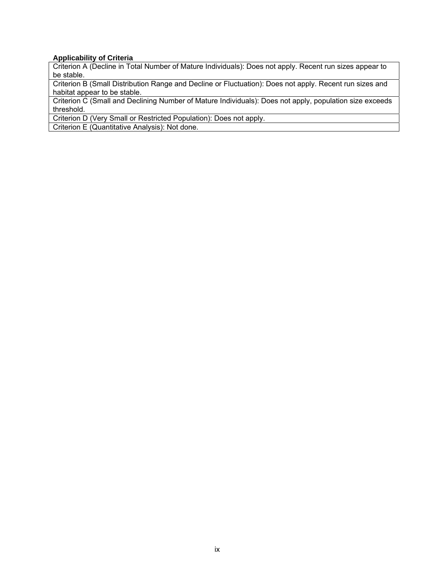## **Applicability of Criteria**

Criterion A (Decline in Total Number of Mature Individuals): Does not apply. Recent run sizes appear to be stable.

Criterion B (Small Distribution Range and Decline or Fluctuation): Does not apply. Recent run sizes and habitat appear to be stable.

Criterion C (Small and Declining Number of Mature Individuals): Does not apply, population size exceeds threshold.

Criterion D (Very Small or Restricted Population): Does not apply.

Criterion E (Quantitative Analysis): Not done.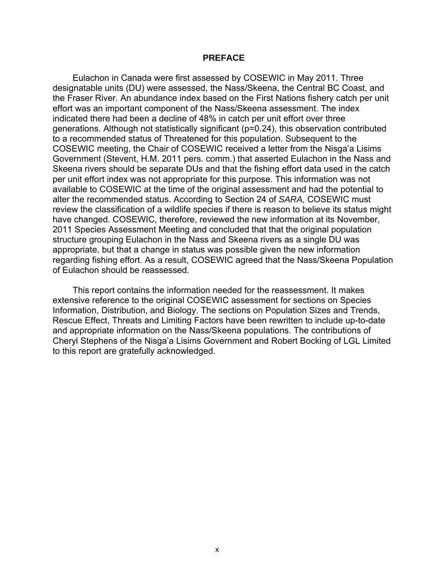## **PREFACE**

Eulachon in Canada were first assessed by COSEWIC in May 2011. Three designatable units (DU) were assessed, the Nass/Skeena, the Central BC Coast, and the Fraser River. An abundance index based on the First Nations fishery catch per unit effort was an important component of the Nass/Skeena assessment. The index indicated there had been a decline of 48% in catch per unit effort over three generations. Although not statistically significant (p=0.24), this observation contributed to a recommended status of Threatened for this population. Subsequent to the COSEWIC meeting, the Chair of COSEWIC received a letter from the Nisga'a Lisims Government (Stevent, H.M. 2011 pers. comm.) that asserted Eulachon in the Nass and Skeena rivers should be separate DUs and that the fishing effort data used in the catch per unit effort index was not appropriate for this purpose. This information was not available to COSEWIC at the time of the original assessment and had the potential to alter the recommended status. According to Section 24 of *SARA,* COSEWIC must review the classification of a wildlife species if there is reason to believe its status might have changed. COSEWIC, therefore, reviewed the new information at its November, 2011 Species Assessment Meeting and concluded that that the original population structure grouping Eulachon in the Nass and Skeena rivers as a single DU was appropriate, but that a change in status was possible given the new information regarding fishing effort. As a result, COSEWIC agreed that the Nass/Skeena Population of Eulachon should be reassessed.

This report contains the information needed for the reassessment. It makes extensive reference to the original COSEWIC assessment for sections on Species Information, Distribution, and Biology. The sections on Population Sizes and Trends, Rescue Effect, Threats and Limiting Factors have been rewritten to include up-to-date and appropriate information on the Nass/Skeena populations. The contributions of Cheryl Stephens of the Nisga'a Lisims Government and Robert Bocking of LGL Limited to this report are gratefully acknowledged.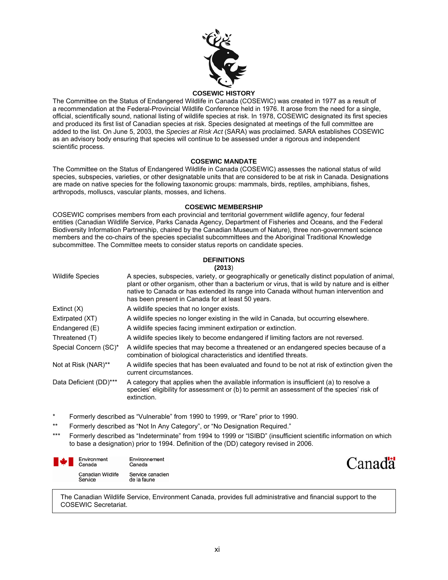

#### **COSEWIC HISTORY**

The Committee on the Status of Endangered Wildlife in Canada (COSEWIC) was created in 1977 as a result of a recommendation at the Federal-Provincial Wildlife Conference held in 1976. It arose from the need for a single, official, scientifically sound, national listing of wildlife species at risk. In 1978, COSEWIC designated its first species and produced its first list of Canadian species at risk. Species designated at meetings of the full committee are added to the list. On June 5, 2003, the *Species at Risk Act* (SARA) was proclaimed. SARA establishes COSEWIC as an advisory body ensuring that species will continue to be assessed under a rigorous and independent scientific process.

#### **COSEWIC MANDATE**

The Committee on the Status of Endangered Wildlife in Canada (COSEWIC) assesses the national status of wild species, subspecies, varieties, or other designatable units that are considered to be at risk in Canada. Designations are made on native species for the following taxonomic groups: mammals, birds, reptiles, amphibians, fishes, arthropods, molluscs, vascular plants, mosses, and lichens.

#### **COSEWIC MEMBERSHIP**

COSEWIC comprises members from each provincial and territorial government wildlife agency, four federal entities (Canadian Wildlife Service, Parks Canada Agency, Department of Fisheries and Oceans, and the Federal Biodiversity Information Partnership, chaired by the Canadian Museum of Nature), three non-government science members and the co-chairs of the species specialist subcommittees and the Aboriginal Traditional Knowledge subcommittee. The Committee meets to consider status reports on candidate species.

#### **DEFINITIONS (2013**)

|                         | 147 I J J                                                                                                                                                                                                                                                                                                                                       |
|-------------------------|-------------------------------------------------------------------------------------------------------------------------------------------------------------------------------------------------------------------------------------------------------------------------------------------------------------------------------------------------|
| <b>Wildlife Species</b> | A species, subspecies, variety, or geographically or genetically distinct population of animal,<br>plant or other organism, other than a bacterium or virus, that is wild by nature and is either<br>native to Canada or has extended its range into Canada without human intervention and<br>has been present in Canada for at least 50 years. |
| Extinct $(X)$           | A wildlife species that no longer exists.                                                                                                                                                                                                                                                                                                       |
| Extirpated (XT)         | A wildlife species no longer existing in the wild in Canada, but occurring elsewhere.                                                                                                                                                                                                                                                           |
| Endangered (E)          | A wildlife species facing imminent extirpation or extinction.                                                                                                                                                                                                                                                                                   |
| Threatened (T)          | A wildlife species likely to become endangered if limiting factors are not reversed.                                                                                                                                                                                                                                                            |
| Special Concern (SC)*   | A wildlife species that may become a threatened or an endangered species because of a<br>combination of biological characteristics and identified threats.                                                                                                                                                                                      |
| Not at Risk (NAR)**     | A wildlife species that has been evaluated and found to be not at risk of extinction given the<br>current circumstances.                                                                                                                                                                                                                        |
| Data Deficient (DD)***  | A category that applies when the available information is insufficient (a) to resolve a<br>species' eligibility for assessment or (b) to permit an assessment of the species' risk of<br>extinction.                                                                                                                                            |

- \* Formerly described as "Vulnerable" from 1990 to 1999, or "Rare" prior to 1990.
- \*\* Formerly described as "Not In Any Category", or "No Designation Required."
- \*\*\* Formerly described as "Indeterminate" from 1994 to 1999 or "ISIBD" (insufficient scientific information on which to base a designation) prior to 1994. Definition of the (DD) category revised in 2006.

| Environment<br>Canada               | Environnement<br>Canada         |
|-------------------------------------|---------------------------------|
| <b>Canadian Wildlife</b><br>Service | Service canadien<br>de la faune |



The Canadian Wildlife Service, Environment Canada, provides full administrative and financial support to the COSEWIC Secretariat.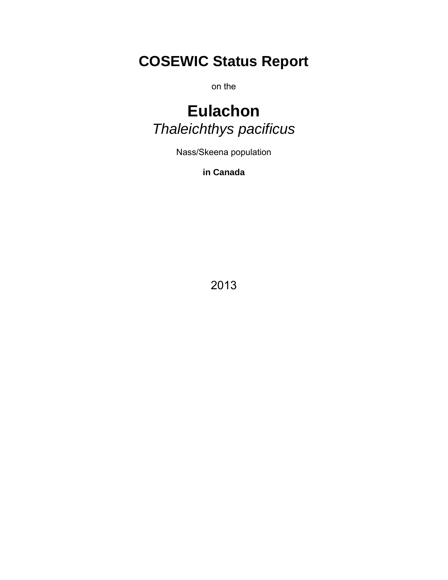# **COSEWIC Status Report**

on the

# **Eulachon**  *Thaleichthys pacificus*

Nass/Skeena population

**in Canada** 

2013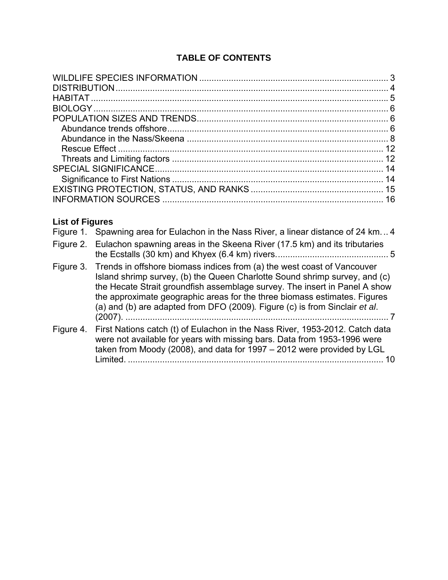# **TABLE OF CONTENTS**

# **List of Figures**

|           | Figure 1. Spawning area for Eulachon in the Nass River, a linear distance of 24 km4                                                                                                                                                                                                                                                                                                                       |
|-----------|-----------------------------------------------------------------------------------------------------------------------------------------------------------------------------------------------------------------------------------------------------------------------------------------------------------------------------------------------------------------------------------------------------------|
|           | Figure 2. Eulachon spawning areas in the Skeena River (17.5 km) and its tributaries                                                                                                                                                                                                                                                                                                                       |
|           | Figure 3. Trends in offshore biomass indices from (a) the west coast of Vancouver<br>Island shrimp survey, (b) the Queen Charlotte Sound shrimp survey, and (c)<br>the Hecate Strait groundfish assemblage survey. The insert in Panel A show<br>the approximate geographic areas for the three biomass estimates. Figures<br>(a) and (b) are adapted from DFO (2009). Figure (c) is from Sinclair et al. |
| Figure 4. | First Nations catch (t) of Eulachon in the Nass River, 1953-2012. Catch data<br>were not available for years with missing bars. Data from 1953-1996 were<br>taken from Moody (2008), and data for 1997 - 2012 were provided by LGL<br>Limited.<br>10                                                                                                                                                      |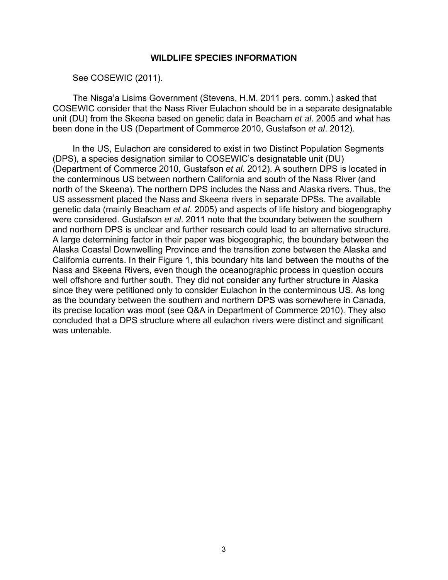# **WILDLIFE SPECIES INFORMATION**

See COSEWIC (2011).

<span id="page-13-0"></span>The Nisga'a Lisims Government (Stevens, H.M. 2011 pers. comm.) asked that COSEWIC consider that the Nass River Eulachon should be in a separate designatable unit (DU) from the Skeena based on genetic data in Beacham *et al*. 2005 and what has been done in the US (Department of Commerce 2010, Gustafson *et al*. 2012).

In the US, Eulachon are considered to exist in two Distinct Population Segments (DPS), a species designation similar to COSEWIC's designatable unit (DU) (Department of Commerce 2010, Gustafson *et al*. 2012). A southern DPS is located in the conterminous US between northern California and south of the Nass River (and north of the Skeena). The northern DPS includes the Nass and Alaska rivers. Thus, the US assessment placed the Nass and Skeena rivers in separate DPSs. The available genetic data (mainly Beacham *et al*. 2005) and aspects of life history and biogeography were considered. Gustafson *et al*. 2011 note that the boundary between the southern and northern DPS is unclear and further research could lead to an alternative structure. A large determining factor in their paper was biogeographic, the boundary between the Alaska Coastal Downwelling Province and the transition zone between the Alaska and California currents. In their Figure 1, this boundary hits land between the mouths of the Nass and Skeena Rivers, even though the oceanographic process in question occurs well offshore and further south. They did not consider any further structure in Alaska since they were petitioned only to consider Eulachon in the conterminous US. As long as the boundary between the southern and northern DPS was somewhere in Canada, its precise location was moot (see Q&A in Department of Commerce 2010). They also concluded that a DPS structure where all eulachon rivers were distinct and significant was untenable.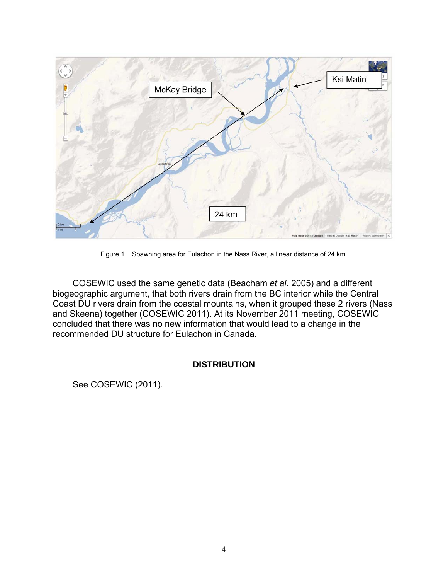

Figure 1. Spawning area for Eulachon in the Nass River, a linear distance of 24 km.

<span id="page-14-1"></span>COSEWIC used the same genetic data (Beacham *et al*. 2005) and a different biogeographic argument, that both rivers drain from the BC interior while the Central Coast DU rivers drain from the coastal mountains, when it grouped these 2 rivers (Nass and Skeena) together (COSEWIC 2011). At its November 2011 meeting, COSEWIC concluded that there was no new information that would lead to a change in the recommended DU structure for Eulachon in Canada.

# **DISTRIBUTION**

<span id="page-14-0"></span>See COSEWIC (2011).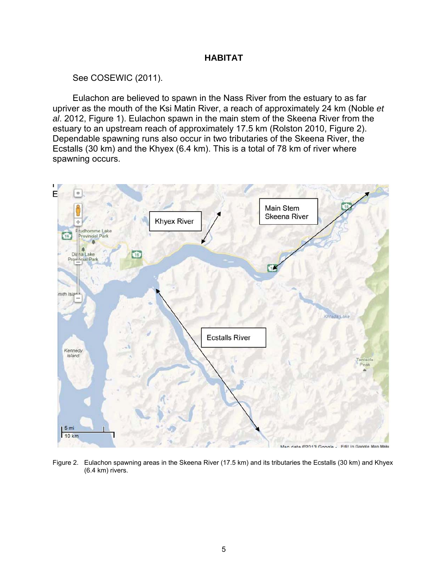# **HABITAT**

See COSEWIC (2011).

<span id="page-15-0"></span>Eulachon are believed to spawn in the Nass River from the estuary to as far upriver as the mouth of the Ksi Matin River, a reach of approximately 24 km (Noble *et al*. 2012, Figure 1). Eulachon spawn in the main stem of the Skeena River from the estuary to an upstream reach of approximately 17.5 km (Rolston 2010, Figure 2). Dependable spawning runs also occur in two tributaries of the Skeena River, the Ecstalls (30 km) and the Khyex (6.4 km). This is a total of 78 km of river where spawning occurs.

<span id="page-15-1"></span>

Figure 2. Eulachon spawning areas in the Skeena River (17.5 km) and its tributaries the Ecstalls (30 km) and Khyex (6.4 km) rivers.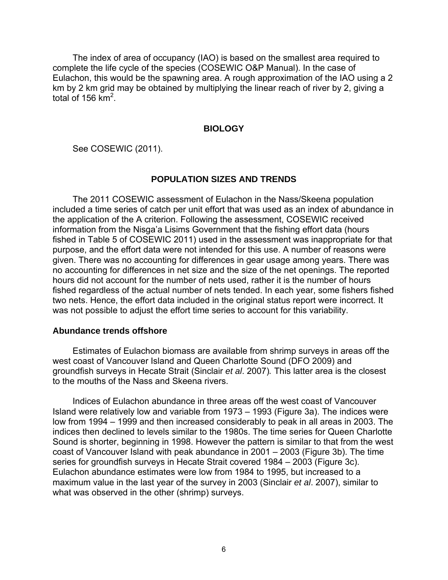The index of area of occupancy (IAO) is based on the smallest area required to complete the life cycle of the species (COSEWIC O&P Manual). In the case of Eulachon, this would be the spawning area. A rough approximation of the IAO using a 2 km by 2 km grid may be obtained by multiplying the linear reach of river by 2, giving a total of 156  $km^2$ .

# **BIOLOGY**

<span id="page-16-0"></span>See COSEWIC (2011).

# **POPULATION SIZES AND TRENDS**

<span id="page-16-1"></span>The 2011 COSEWIC assessment of Eulachon in the Nass/Skeena population included a time series of catch per unit effort that was used as an index of abundance in the application of the A criterion. Following the assessment, COSEWIC received information from the Nisga'a Lisims Government that the fishing effort data (hours fished in Table 5 of COSEWIC 2011) used in the assessment was inappropriate for that purpose, and the effort data were not intended for this use. A number of reasons were given. There was no accounting for differences in gear usage among years. There was no accounting for differences in net size and the size of the net openings. The reported hours did not account for the number of nets used, rather it is the number of hours fished regardless of the actual number of nets tended. In each year, some fishers fished two nets. Hence, the effort data included in the original status report were incorrect. It was not possible to adjust the effort time series to account for this variability.

## <span id="page-16-2"></span>**Abundance trends offshore**

Estimates of Eulachon biomass are available from shrimp surveys in areas off the west coast of Vancouver Island and Queen Charlotte Sound (DFO 2009) and groundfish surveys in Hecate Strait (Sinclair *et al*. 2007)*.* This latter area is the closest to the mouths of the Nass and Skeena rivers.

Indices of Eulachon abundance in three areas off the west coast of Vancouver Island were relatively low and variable from 1973 – 1993 (Figure 3a). The indices were low from 1994 – 1999 and then increased considerably to peak in all areas in 2003. The indices then declined to levels similar to the 1980s. The time series for Queen Charlotte Sound is shorter, beginning in 1998. However the pattern is similar to that from the west coast of Vancouver Island with peak abundance in 2001 – 2003 (Figure 3b). The time series for groundfish surveys in Hecate Strait covered 1984 – 2003 (Figure 3c). Eulachon abundance estimates were low from 1984 to 1995, but increased to a maximum value in the last year of the survey in 2003 (Sinclair *et al*. 2007), similar to what was observed in the other (shrimp) surveys.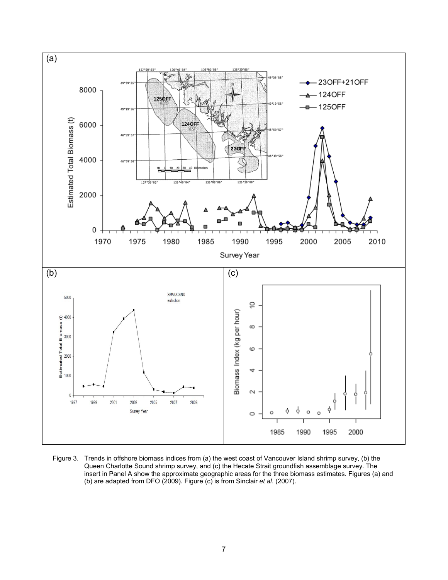

<span id="page-17-0"></span>Figure 3. Trends in offshore biomass indices from (a) the west coast of Vancouver Island shrimp survey, (b) the Queen Charlotte Sound shrimp survey, and (c) the Hecate Strait groundfish assemblage survey. The insert in Panel A show the approximate geographic areas for the three biomass estimates. Figures (a) and (b) are adapted from DFO (2009)*.* Figure (c) is from Sinclair *et al*. (2007).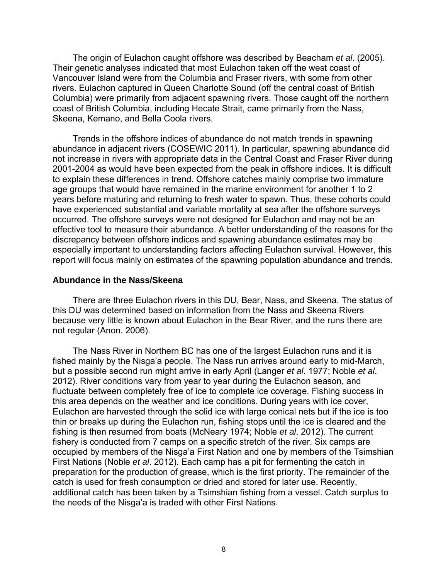The origin of Eulachon caught offshore was described by Beacham *et al*. (2005). Their genetic analyses indicated that most Eulachon taken off the west coast of Vancouver Island were from the Columbia and Fraser rivers, with some from other rivers. Eulachon captured in Queen Charlotte Sound (off the central coast of British Columbia) were primarily from adjacent spawning rivers. Those caught off the northern coast of British Columbia, including Hecate Strait, came primarily from the Nass, Skeena, Kemano, and Bella Coola rivers.

Trends in the offshore indices of abundance do not match trends in spawning abundance in adjacent rivers (COSEWIC 2011). In particular, spawning abundance did not increase in rivers with appropriate data in the Central Coast and Fraser River during 2001-2004 as would have been expected from the peak in offshore indices. It is difficult to explain these differences in trend. Offshore catches mainly comprise two immature age groups that would have remained in the marine environment for another 1 to 2 years before maturing and returning to fresh water to spawn. Thus, these cohorts could have experienced substantial and variable mortality at sea after the offshore surveys occurred. The offshore surveys were not designed for Eulachon and may not be an effective tool to measure their abundance. A better understanding of the reasons for the discrepancy between offshore indices and spawning abundance estimates may be especially important to understanding factors affecting Eulachon survival. However, this report will focus mainly on estimates of the spawning population abundance and trends.

### <span id="page-18-0"></span>**Abundance in the Nass/Skeena**

There are three Eulachon rivers in this DU, Bear, Nass, and Skeena. The status of this DU was determined based on information from the Nass and Skeena Rivers because very little is known about Eulachon in the Bear River, and the runs there are not regular (Anon. 2006).

The Nass River in Northern BC has one of the largest Eulachon runs and it is fished mainly by the Nisga'a people. The Nass run arrives around early to mid-March, but a possible second run might arrive in early April (Langer *et al*. 1977; Noble *et al*. 2012). River conditions vary from year to year during the Eulachon season, and fluctuate between completely free of ice to complete ice coverage. Fishing success in this area depends on the weather and ice conditions. During years with ice cover, Eulachon are harvested through the solid ice with large conical nets but if the ice is too thin or breaks up during the Eulachon run, fishing stops until the ice is cleared and the fishing is then resumed from boats (McNeary 1974; Noble *et al*. 2012). The current fishery is conducted from 7 camps on a specific stretch of the river. Six camps are occupied by members of the Nisga'a First Nation and one by members of the Tsimshian First Nations (Noble *et al*. 2012). Each camp has a pit for fermenting the catch in preparation for the production of grease, which is the first priority. The remainder of the catch is used for fresh consumption or dried and stored for later use. Recently, additional catch has been taken by a Tsimshian fishing from a vessel. Catch surplus to the needs of the Nisga'a is traded with other First Nations.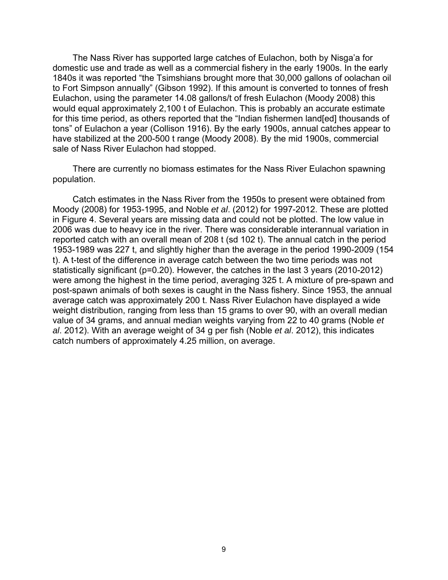The Nass River has supported large catches of Eulachon, both by Nisga'a for domestic use and trade as well as a commercial fishery in the early 1900s. In the early 1840s it was reported "the Tsimshians brought more that 30,000 gallons of oolachan oil to Fort Simpson annually" (Gibson 1992). If this amount is converted to tonnes of fresh Eulachon, using the parameter 14.08 gallons/t of fresh Eulachon (Moody 2008) this would equal approximately 2,100 t of Eulachon. This is probably an accurate estimate for this time period, as others reported that the "Indian fishermen land[ed] thousands of tons" of Eulachon a year (Collison 1916). By the early 1900s, annual catches appear to have stabilized at the 200-500 t range (Moody 2008). By the mid 1900s, commercial sale of Nass River Eulachon had stopped.

There are currently no biomass estimates for the Nass River Eulachon spawning population.

Catch estimates in the Nass River from the 1950s to present were obtained from Moody (2008) for 1953-1995, and Noble *et al*. (2012) for 1997-2012. These are plotted in Figure 4. Several years are missing data and could not be plotted. The low value in 2006 was due to heavy ice in the river. There was considerable interannual variation in reported catch with an overall mean of 208 t (sd 102 t). The annual catch in the period 1953-1989 was 227 t, and slightly higher than the average in the period 1990-2009 (154 t). A t-test of the difference in average catch between the two time periods was not statistically significant (p=0.20). However, the catches in the last 3 years (2010-2012) were among the highest in the time period, averaging 325 t. A mixture of pre-spawn and post-spawn animals of both sexes is caught in the Nass fishery. Since 1953, the annual average catch was approximately 200 t. Nass River Eulachon have displayed a wide weight distribution, ranging from less than 15 grams to over 90, with an overall median value of 34 grams, and annual median weights varying from 22 to 40 grams (Noble *et al*. 2012). With an average weight of 34 g per fish (Noble *et al*. 2012), this indicates catch numbers of approximately 4.25 million, on average.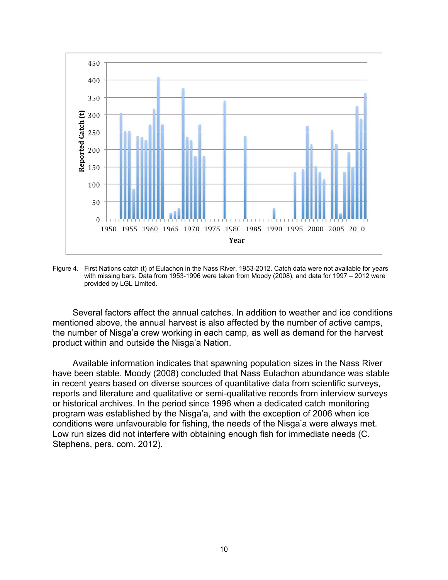

<span id="page-20-0"></span>Figure 4. First Nations catch (t) of Eulachon in the Nass River, 1953-2012. Catch data were not available for years with missing bars. Data from 1953-1996 were taken from Moody (2008), and data for 1997 – 2012 were provided by LGL Limited.

Several factors affect the annual catches. In addition to weather and ice conditions mentioned above, the annual harvest is also affected by the number of active camps, the number of Nisga'a crew working in each camp, as well as demand for the harvest product within and outside the Nisga'a Nation.

Available information indicates that spawning population sizes in the Nass River have been stable. Moody (2008) concluded that Nass Eulachon abundance was stable in recent years based on diverse sources of quantitative data from scientific surveys, reports and literature and qualitative or semi-qualitative records from interview surveys or historical archives. In the period since 1996 when a dedicated catch monitoring program was established by the Nisga'a, and with the exception of 2006 when ice conditions were unfavourable for fishing, the needs of the Nisga'a were always met. Low run sizes did not interfere with obtaining enough fish for immediate needs (C. Stephens, pers. com. 2012).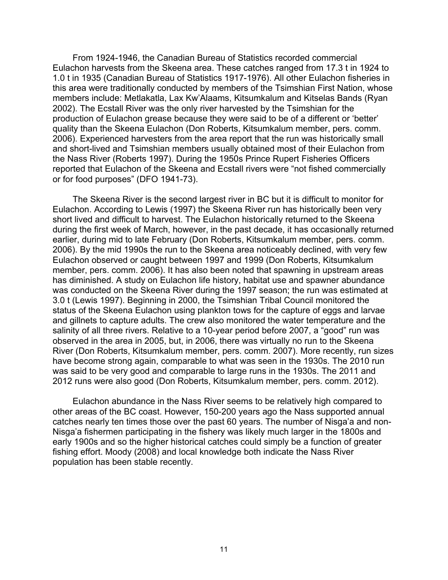From 1924-1946, the Canadian Bureau of Statistics recorded commercial Eulachon harvests from the Skeena area. These catches ranged from 17.3 t in 1924 to 1.0 t in 1935 (Canadian Bureau of Statistics 1917-1976). All other Eulachon fisheries in this area were traditionally conducted by members of the Tsimshian First Nation, whose members include: Metlakatla, Lax Kw'Alaams, Kitsumkalum and Kitselas Bands (Ryan 2002). The Ecstall River was the only river harvested by the Tsimshian for the production of Eulachon grease because they were said to be of a different or 'better' quality than the Skeena Eulachon (Don Roberts, Kitsumkalum member, pers. comm. 2006). Experienced harvesters from the area report that the run was historically small and short-lived and Tsimshian members usually obtained most of their Eulachon from the Nass River (Roberts 1997). During the 1950s Prince Rupert Fisheries Officers reported that Eulachon of the Skeena and Ecstall rivers were "not fished commercially or for food purposes" (DFO 1941-73).

The Skeena River is the second largest river in BC but it is difficult to monitor for Eulachon. According to Lewis (1997) the Skeena River run has historically been very short lived and difficult to harvest. The Eulachon historically returned to the Skeena during the first week of March, however, in the past decade, it has occasionally returned earlier, during mid to late February (Don Roberts, Kitsumkalum member, pers. comm. 2006). By the mid 1990s the run to the Skeena area noticeably declined, with very few Eulachon observed or caught between 1997 and 1999 (Don Roberts, Kitsumkalum member, pers. comm. 2006). It has also been noted that spawning in upstream areas has diminished. A study on Eulachon life history, habitat use and spawner abundance was conducted on the Skeena River during the 1997 season; the run was estimated at 3.0 t (Lewis 1997). Beginning in 2000, the Tsimshian Tribal Council monitored the status of the Skeena Eulachon using plankton tows for the capture of eggs and larvae and gillnets to capture adults. The crew also monitored the water temperature and the salinity of all three rivers. Relative to a 10-year period before 2007, a "good" run was observed in the area in 2005, but, in 2006, there was virtually no run to the Skeena River (Don Roberts, Kitsumkalum member, pers. comm. 2007). More recently, run sizes have become strong again, comparable to what was seen in the 1930s. The 2010 run was said to be very good and comparable to large runs in the 1930s. The 2011 and 2012 runs were also good (Don Roberts, Kitsumkalum member, pers. comm. 2012).

Eulachon abundance in the Nass River seems to be relatively high compared to other areas of the BC coast. However, 150-200 years ago the Nass supported annual catches nearly ten times those over the past 60 years. The number of Nisga'a and non-Nisga'a fishermen participating in the fishery was likely much larger in the 1800s and early 1900s and so the higher historical catches could simply be a function of greater fishing effort. Moody (2008) and local knowledge both indicate the Nass River population has been stable recently.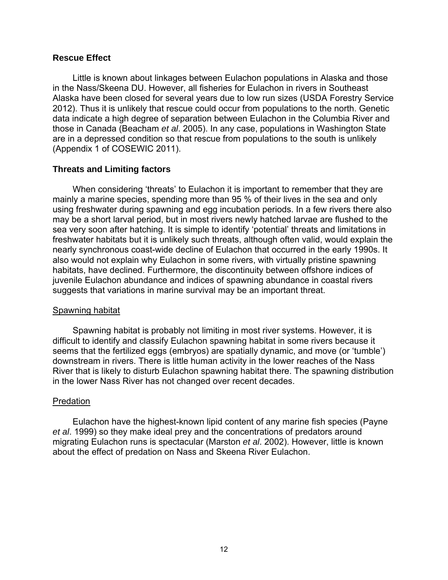# <span id="page-22-0"></span>**Rescue Effect**

Little is known about linkages between Eulachon populations in Alaska and those in the Nass/Skeena DU. However, all fisheries for Eulachon in rivers in Southeast Alaska have been closed for several years due to low run sizes (USDA Forestry Service 2012). Thus it is unlikely that rescue could occur from populations to the north. Genetic data indicate a high degree of separation between Eulachon in the Columbia River and those in Canada (Beacham *et al*. 2005). In any case, populations in Washington State are in a depressed condition so that rescue from populations to the south is unlikely (Appendix 1 of COSEWIC 2011).

# <span id="page-22-1"></span>**Threats and Limiting factors**

When considering 'threats' to Eulachon it is important to remember that they are mainly a marine species, spending more than 95 % of their lives in the sea and only using freshwater during spawning and egg incubation periods. In a few rivers there also may be a short larval period, but in most rivers newly hatched larvae are flushed to the sea very soon after hatching. It is simple to identify 'potential' threats and limitations in freshwater habitats but it is unlikely such threats, although often valid, would explain the nearly synchronous coast-wide decline of Eulachon that occurred in the early 1990s. It also would not explain why Eulachon in some rivers, with virtually pristine spawning habitats, have declined. Furthermore, the discontinuity between offshore indices of juvenile Eulachon abundance and indices of spawning abundance in coastal rivers suggests that variations in marine survival may be an important threat.

# Spawning habitat

Spawning habitat is probably not limiting in most river systems. However, it is difficult to identify and classify Eulachon spawning habitat in some rivers because it seems that the fertilized eggs (embryos) are spatially dynamic, and move (or 'tumble') downstream in rivers. There is little human activity in the lower reaches of the Nass River that is likely to disturb Eulachon spawning habitat there. The spawning distribution in the lower Nass River has not changed over recent decades.

# Predation

Eulachon have the highest-known lipid content of any marine fish species (Payne *et al*. 1999) so they make ideal prey and the concentrations of predators around migrating Eulachon runs is spectacular (Marston *et al*. 2002). However, little is known about the effect of predation on Nass and Skeena River Eulachon.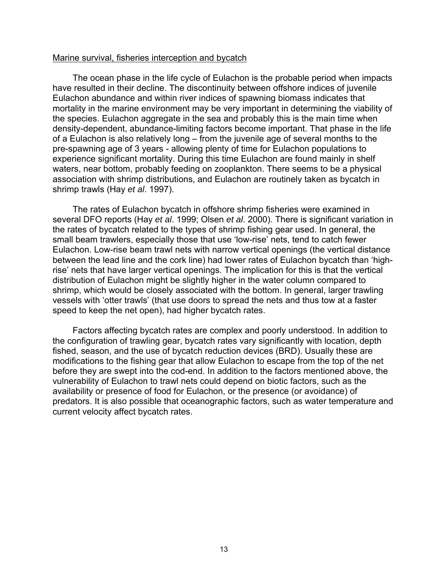# Marine survival, fisheries interception and bycatch

The ocean phase in the life cycle of Eulachon is the probable period when impacts have resulted in their decline. The discontinuity between offshore indices of juvenile Eulachon abundance and within river indices of spawning biomass indicates that mortality in the marine environment may be very important in determining the viability of the species. Eulachon aggregate in the sea and probably this is the main time when density-dependent, abundance-limiting factors become important. That phase in the life of a Eulachon is also relatively long – from the juvenile age of several months to the pre-spawning age of 3 years - allowing plenty of time for Eulachon populations to experience significant mortality. During this time Eulachon are found mainly in shelf waters, near bottom, probably feeding on zooplankton. There seems to be a physical association with shrimp distributions, and Eulachon are routinely taken as bycatch in shrimp trawls (Hay *et al*. 1997).

The rates of Eulachon bycatch in offshore shrimp fisheries were examined in several DFO reports (Hay *et al*. 1999; Olsen *et al*. 2000). There is significant variation in the rates of bycatch related to the types of shrimp fishing gear used. In general, the small beam trawlers, especially those that use 'low-rise' nets, tend to catch fewer Eulachon. Low-rise beam trawl nets with narrow vertical openings (the vertical distance between the lead line and the cork line) had lower rates of Eulachon bycatch than 'highrise' nets that have larger vertical openings. The implication for this is that the vertical distribution of Eulachon might be slightly higher in the water column compared to shrimp, which would be closely associated with the bottom. In general, larger trawling vessels with 'otter trawls' (that use doors to spread the nets and thus tow at a faster speed to keep the net open), had higher bycatch rates.

Factors affecting bycatch rates are complex and poorly understood. In addition to the configuration of trawling gear, bycatch rates vary significantly with location, depth fished, season, and the use of bycatch reduction devices (BRD). Usually these are modifications to the fishing gear that allow Eulachon to escape from the top of the net before they are swept into the cod-end. In addition to the factors mentioned above, the vulnerability of Eulachon to trawl nets could depend on biotic factors, such as the availability or presence of food for Eulachon, or the presence (or avoidance) of predators. It is also possible that oceanographic factors, such as water temperature and current velocity affect bycatch rates.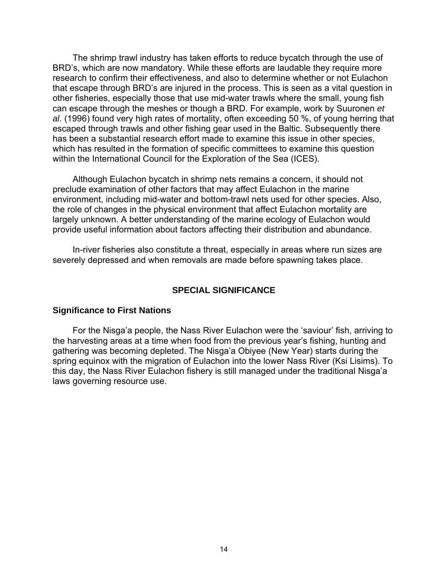The shrimp trawl industry has taken efforts to reduce bycatch through the use of BRD's, which are now mandatory. While these efforts are laudable they require more research to confirm their effectiveness, and also to determine whether or not Eulachon that escape through BRD's are injured in the process. This is seen as a vital question in other fisheries, especially those that use mid-water trawls where the small, young fish can escape through the meshes or though a BRD. For example, work by Suuronen *et al*. (1996) found very high rates of mortality, often exceeding 50 %, of young herring that escaped through trawls and other fishing gear used in the Baltic. Subsequently there has been a substantial research effort made to examine this issue in other species, which has resulted in the formation of specific committees to examine this question within the International Council for the Exploration of the Sea (ICES).

Although Eulachon bycatch in shrimp nets remains a concern, it should not preclude examination of other factors that may affect Eulachon in the marine environment, including mid-water and bottom-trawl nets used for other species. Also, the role of changes in the physical environment that affect Eulachon mortality are largely unknown. A better understanding of the marine ecology of Eulachon would provide useful information about factors affecting their distribution and abundance.

In-river fisheries also constitute a threat, especially in areas where run sizes are severely depressed and when removals are made before spawning takes place.

# **SPECIAL SIGNIFICANCE**

## <span id="page-24-1"></span><span id="page-24-0"></span>**Significance to First Nations**

For the Nisga'a people, the Nass River Eulachon were the 'saviour' fish, arriving to the harvesting areas at a time when food from the previous year's fishing, hunting and gathering was becoming depleted. The Nisga'a Obiyee (New Year) starts during the spring equinox with the migration of Eulachon into the lower Nass River (Ksi Lisims). To this day, the Nass River Eulachon fishery is still managed under the traditional Nisga'a laws governing resource use.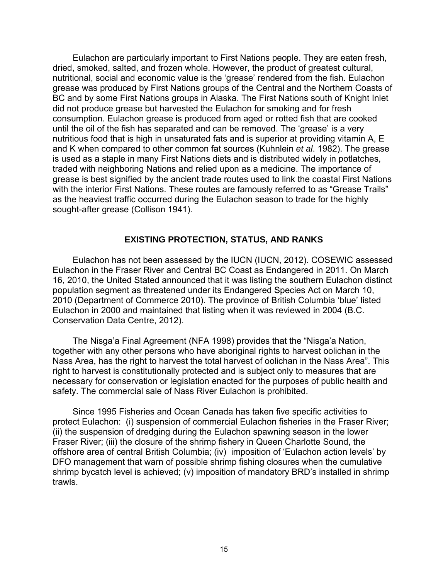Eulachon are particularly important to First Nations people. They are eaten fresh, dried, smoked, salted, and frozen whole. However, the product of greatest cultural, nutritional, social and economic value is the 'grease' rendered from the fish. Eulachon grease was produced by First Nations groups of the Central and the Northern Coasts of BC and by some First Nations groups in Alaska. The First Nations south of Knight Inlet did not produce grease but harvested the Eulachon for smoking and for fresh consumption. Eulachon grease is produced from aged or rotted fish that are cooked until the oil of the fish has separated and can be removed. The 'grease' is a very nutritious food that is high in unsaturated fats and is superior at providing vitamin A, E and K when compared to other common fat sources (Kuhnlein *et al*. 1982). The grease is used as a staple in many First Nations diets and is distributed widely in potlatches, traded with neighboring Nations and relied upon as a medicine. The importance of grease is best signified by the ancient trade routes used to link the coastal First Nations with the interior First Nations. These routes are famously referred to as "Grease Trails" as the heaviest traffic occurred during the Eulachon season to trade for the highly sought-after grease (Collison 1941).

# **EXISTING PROTECTION, STATUS, AND RANKS**

<span id="page-25-0"></span>Eulachon has not been assessed by the IUCN (IUCN, 2012). COSEWIC assessed Eulachon in the Fraser River and Central BC Coast as Endangered in 2011. On March 16, 2010, the United Stated announced that it was listing the southern Eulachon distinct population segment as threatened under its Endangered Species Act on March 10, 2010 (Department of Commerce 2010). The province of British Columbia 'blue' listed Eulachon in 2000 and maintained that listing when it was reviewed in 2004 (B.C. Conservation Data Centre, 2012).

The Nisga'a Final Agreement (NFA 1998) provides that the "Nisga'a Nation, together with any other persons who have aboriginal rights to harvest oolichan in the Nass Area, has the right to harvest the total harvest of oolichan in the Nass Area". This right to harvest is constitutionally protected and is subject only to measures that are necessary for conservation or legislation enacted for the purposes of public health and safety. The commercial sale of Nass River Eulachon is prohibited.

Since 1995 Fisheries and Ocean Canada has taken five specific activities to protect Eulachon: (i) suspension of commercial Eulachon fisheries in the Fraser River; (ii) the suspension of dredging during the Eulachon spawning season in the lower Fraser River; (iii) the closure of the shrimp fishery in Queen Charlotte Sound, the offshore area of central British Columbia; (iv) imposition of 'Eulachon action levels' by DFO management that warn of possible shrimp fishing closures when the cumulative shrimp bycatch level is achieved; (v) imposition of mandatory BRD's installed in shrimp trawls.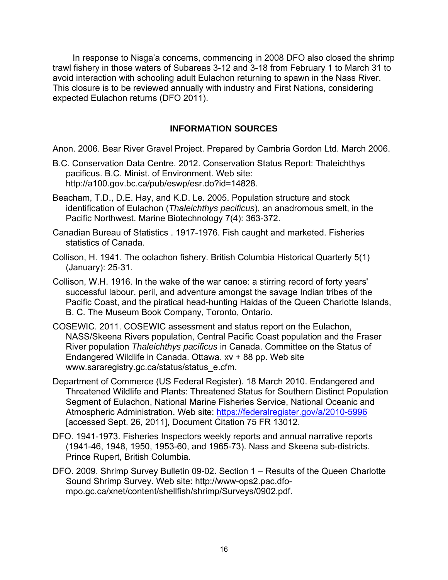In response to Nisga'a concerns, commencing in 2008 DFO also closed the shrimp trawl fishery in those waters of Subareas 3-12 and 3-18 from February 1 to March 31 to avoid interaction with schooling adult Eulachon returning to spawn in the Nass River. This closure is to be reviewed annually with industry and First Nations, considering expected Eulachon returns (DFO 2011).

# **INFORMATION SOURCES**

<span id="page-26-0"></span>Anon. 2006. Bear River Gravel Project. Prepared by Cambria Gordon Ltd. March 2006.

- B.C. Conservation Data Centre. 2012. Conservation Status Report: Thaleichthys pacificus. B.C. Minist. of Environment. Web site: http://a100.gov.bc.ca/pub/eswp/esr.do?id=14828.
- Beacham, T.D., D.E. Hay, and K.D. Le. 2005. Population structure and stock identification of Eulachon (*Thaleichthys pacificus*), an anadromous smelt, in the Pacific Northwest. Marine Biotechnology 7(4): 363-372.
- Canadian Bureau of Statistics . 1917-1976. Fish caught and marketed. Fisheries statistics of Canada.
- Collison, H. 1941. The oolachon fishery. British Columbia Historical Quarterly 5(1) (January): 25-31.
- Collison, W.H. 1916. In the wake of the war canoe: a stirring record of forty years' successful labour, peril, and adventure amongst the savage Indian tribes of the Pacific Coast, and the piratical head-hunting Haidas of the Queen Charlotte Islands, B. C. The Museum Book Company, Toronto, Ontario.
- COSEWIC. 2011. COSEWIC assessment and status report on the Eulachon, NASS/Skeena Rivers population, Central Pacific Coast population and the Fraser River population *Thaleichthys pacificus* in Canada. Committee on the Status of Endangered Wildlife in Canada. Ottawa. xv + 88 pp. Web site www.sararegistry.gc.ca/status/status\_e.cfm.
- Department of Commerce (US Federal Register). 18 March 2010. Endangered and Threatened Wildlife and Plants: Threatened Status for Southern Distinct Population Segment of Eulachon, National Marine Fisheries Service, National Oceanic and Atmospheric Administration. Web site:<https://federalregister.gov/a/2010-5996> [accessed Sept. 26, 2011], Document Citation 75 FR 13012.
- DFO. 1941-1973. Fisheries Inspectors weekly reports and annual narrative reports (1941-46, 1948, 1950, 1953-60, and 1965-73). Nass and Skeena sub-districts. Prince Rupert, British Columbia.
- DFO. 2009. Shrimp Survey Bulletin 09-02. Section 1 Results of the Queen Charlotte Sound Shrimp Survey. Web site: http://www-ops2.pac.dfompo.gc.ca/xnet/content/shellfish/shrimp/Surveys/0902.pdf.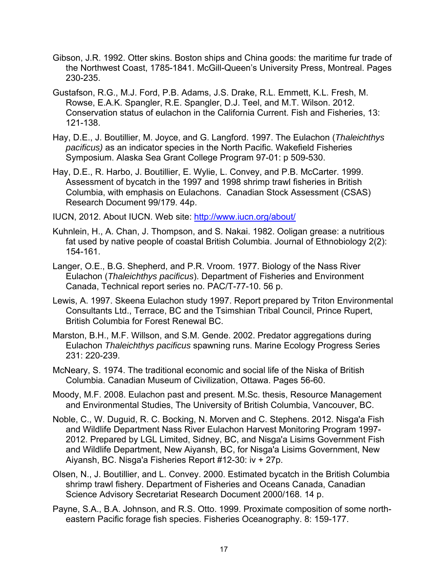- Gibson, J.R. 1992. Otter skins. Boston ships and China goods: the maritime fur trade of the Northwest Coast, 1785-1841. McGill-Queen's University Press, Montreal. Pages 230-235.
- Gustafson, R.G., M.J. Ford, P.B. Adams, J.S. Drake, R.L. Emmett, K.L. Fresh, M. Rowse, E.A.K. Spangler, R.E. Spangler, D.J. Teel, and M.T. Wilson. 2012. Conservation status of eulachon in the California Current. Fish and Fisheries, 13: 121-138.
- Hay, D.E., J. Boutillier, M. Joyce, and G. Langford. 1997. The Eulachon (*Thaleichthys pacificus)* as an indicator species in the North Pacific. Wakefield Fisheries Symposium. Alaska Sea Grant College Program 97-01: p 509-530.
- Hay, D.E., R. Harbo, J. Boutillier, E. Wylie, L. Convey, and P.B. McCarter. 1999. Assessment of bycatch in the 1997 and 1998 shrimp trawl fisheries in British Columbia, with emphasis on Eulachons. Canadian Stock Assessment (CSAS) Research Document 99/179. 44p.

IUCN, 2012. About IUCN. Web site:<http://www.iucn.org/about/>

- Kuhnlein, H., A. Chan, J. Thompson, and S. Nakai. 1982. Ooligan grease: a nutritious fat used by native people of coastal British Columbia. Journal of Ethnobiology 2(2): 154-161.
- Langer, O.E., B.G. Shepherd, and P.R. Vroom. 1977. Biology of the Nass River Eulachon (*Thaleichthys pacificus*). Department of Fisheries and Environment Canada, Technical report series no. PAC/T-77-10. 56 p.
- Lewis, A. 1997. Skeena Eulachon study 1997. Report prepared by Triton Environmental Consultants Ltd., Terrace, BC and the Tsimshian Tribal Council, Prince Rupert, British Columbia for Forest Renewal BC.
- Marston, B.H., M.F. Willson, and S.M. Gende. 2002. Predator aggregations during Eulachon *Thaleichthys pacificus* spawning runs. Marine Ecology Progress Series 231: 220-239.
- McNeary, S. 1974. The traditional economic and social life of the Niska of British Columbia. Canadian Museum of Civilization, Ottawa. Pages 56-60.
- Moody, M.F. 2008. Eulachon past and present. M.Sc. thesis, Resource Management and Environmental Studies, The University of British Columbia, Vancouver, BC.
- Noble, C., W. Duguid, R. C. Bocking, N. Morven and C. Stephens. 2012. Nisga'a Fish and Wildlife Department Nass River Eulachon Harvest Monitoring Program 1997- 2012. Prepared by LGL Limited, Sidney, BC, and Nisga'a Lisims Government Fish and Wildlife Department, New Aiyansh, BC, for Nisga'a Lisims Government, New Aiyansh, BC. Nisga'a Fisheries Report #12-30: iv + 27p.
- Olsen, N., J. Boutillier, and L. Convey. 2000. Estimated bycatch in the British Columbia shrimp trawl fishery. Department of Fisheries and Oceans Canada, Canadian Science Advisory Secretariat Research Document 2000/168. 14 p.
- Payne, S.A., B.A. Johnson, and R.S. Otto. 1999. Proximate composition of some northeastern Pacific forage fish species. Fisheries Oceanography. 8: 159-177.